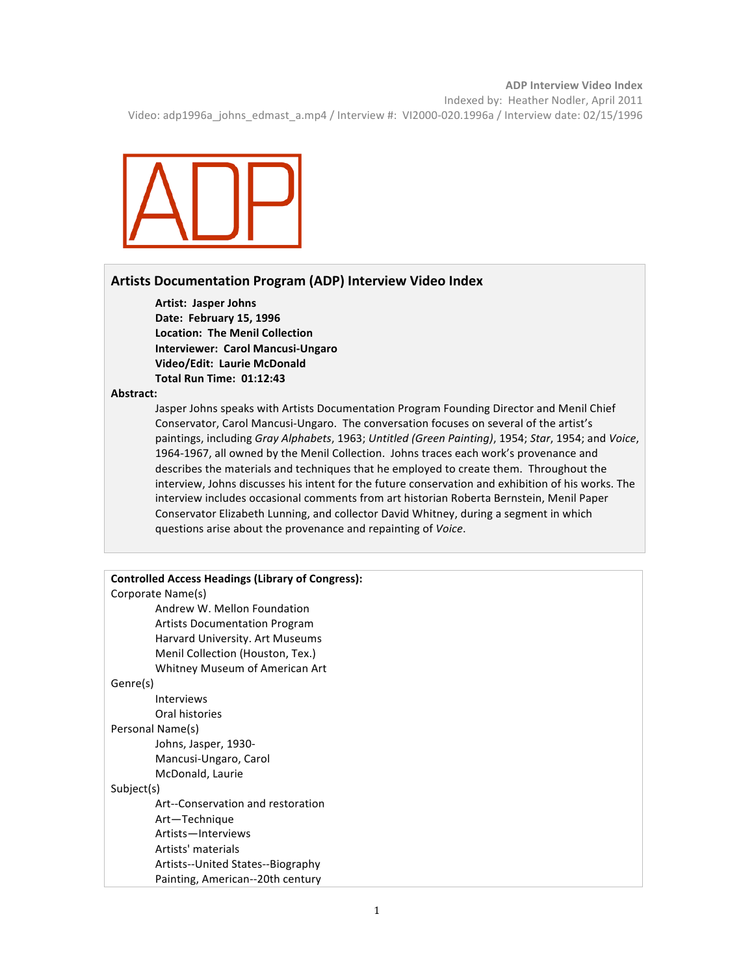**ADP Interview Video Index** Indexed by: Heather Nodler, April 2011 Video: adp1996a\_johns\_edmast\_a.mp4 / Interview #: VI2000-020.1996a / Interview date: 02/15/1996



# **Artists Documentation Program (ADP) Interview Video Index**

**Artist: Jasper Johns Date: February 15, 1996 Location: The Menil Collection Interviewer: Carol Mancusi-Ungaro Video/Edit: Laurie McDonald Total Run Time: 01:12:43** 

#### **Abstract:**

Jasper Johns speaks with Artists Documentation Program Founding Director and Menil Chief Conservator, Carol Mancusi-Ungaro. The conversation focuses on several of the artist's paintings, including Gray Alphabets, 1963; Untitled (Green Painting), 1954; *Star*, 1954; and Voice, 1964-1967, all owned by the Menil Collection. Johns traces each work's provenance and describes the materials and techniques that he employed to create them. Throughout the interview, Johns discusses his intent for the future conservation and exhibition of his works. The interview includes occasional comments from art historian Roberta Bernstein, Menil Paper Conservator Elizabeth Lunning, and collector David Whitney, during a segment in which questions arise about the provenance and repainting of Voice.

| <b>Controlled Access Headings (Library of Congress):</b> |  |  |
|----------------------------------------------------------|--|--|
| Corporate Name(s)                                        |  |  |
| Andrew W. Mellon Foundation                              |  |  |
| <b>Artists Documentation Program</b>                     |  |  |
| Harvard University. Art Museums                          |  |  |
| Menil Collection (Houston, Tex.)                         |  |  |
| Whitney Museum of American Art                           |  |  |
| Genre(s)                                                 |  |  |
| Interviews                                               |  |  |
| Oral histories                                           |  |  |
| Personal Name(s)                                         |  |  |
| Johns, Jasper, 1930-                                     |  |  |
| Mancusi-Ungaro, Carol                                    |  |  |
| McDonald, Laurie                                         |  |  |
| Subject(s)                                               |  |  |
| Art--Conservation and restoration                        |  |  |
| Art-Technique                                            |  |  |
| Artists-Interviews                                       |  |  |
| Artists' materials                                       |  |  |
| Artists--United States--Biography                        |  |  |
| Painting, American--20th century                         |  |  |
|                                                          |  |  |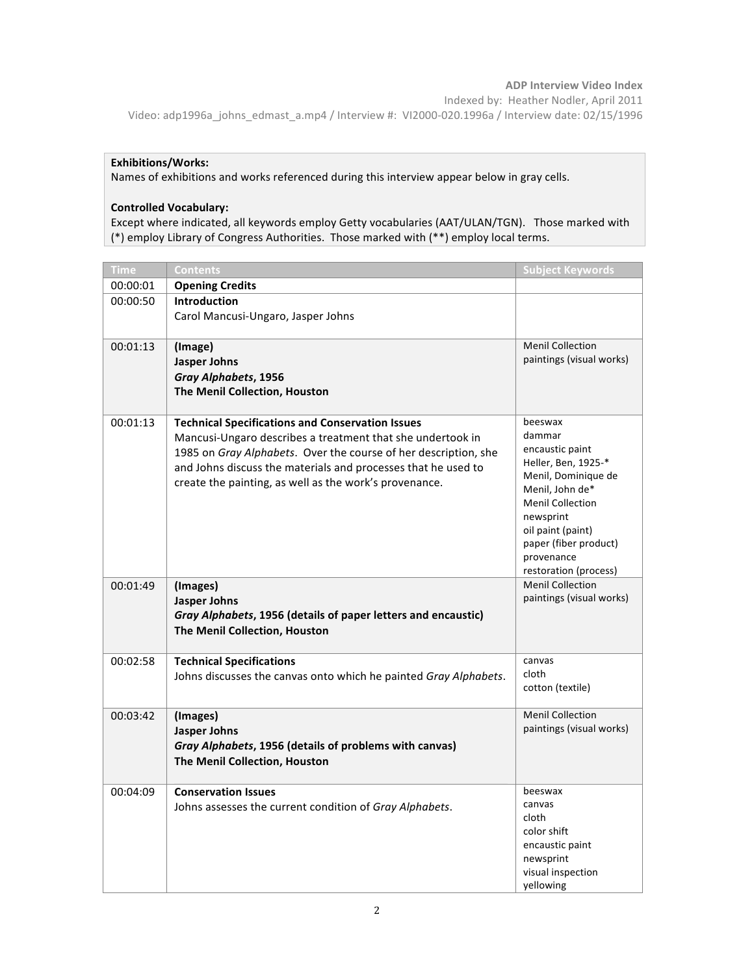Indexed by: Heather Nodler, April 2011 Video: adp1996a\_johns\_edmast\_a.mp4 / Interview #: VI2000-020.1996a / Interview date: 02/15/1996

## **Exhibitions/Works:\$**

Names of exhibitions and works referenced during this interview appear below in gray cells.

### **Controlled\$Vocabulary:**

Except where indicated, all keywords employ Getty vocabularies (AAT/ULAN/TGN). Those marked with (\*) employ Library of Congress Authorities. Those marked with (\*\*) employ local terms.

| <b>Time</b> | <b>Contents</b>                                                                                | <b>Subject Keywords</b>                             |
|-------------|------------------------------------------------------------------------------------------------|-----------------------------------------------------|
| 00:00:01    | <b>Opening Credits</b>                                                                         |                                                     |
| 00:00:50    | Introduction                                                                                   |                                                     |
|             | Carol Mancusi-Ungaro, Jasper Johns                                                             |                                                     |
|             |                                                                                                |                                                     |
| 00:01:13    | (Image)                                                                                        | <b>Menil Collection</b>                             |
|             | <b>Jasper Johns</b>                                                                            | paintings (visual works)                            |
|             | Gray Alphabets, 1956                                                                           |                                                     |
|             | The Menil Collection, Houston                                                                  |                                                     |
|             |                                                                                                |                                                     |
| 00:01:13    | <b>Technical Specifications and Conservation Issues</b>                                        | beeswax                                             |
|             | Mancusi-Ungaro describes a treatment that she undertook in                                     | dammar                                              |
|             | 1985 on Gray Alphabets. Over the course of her description, she                                | encaustic paint                                     |
|             | and Johns discuss the materials and processes that he used to                                  | Heller, Ben, 1925-*<br>Menil, Dominique de          |
|             | create the painting, as well as the work's provenance.                                         | Menil, John de*                                     |
|             |                                                                                                | <b>Menil Collection</b>                             |
|             |                                                                                                | newsprint                                           |
|             |                                                                                                | oil paint (paint)                                   |
|             |                                                                                                | paper (fiber product)                               |
|             |                                                                                                | provenance                                          |
|             |                                                                                                | restoration (process)                               |
| 00:01:49    | (Images)                                                                                       | <b>Menil Collection</b><br>paintings (visual works) |
|             | Jasper Johns                                                                                   |                                                     |
|             | Gray Alphabets, 1956 (details of paper letters and encaustic)<br>The Menil Collection, Houston |                                                     |
|             |                                                                                                |                                                     |
| 00:02:58    | <b>Technical Specifications</b>                                                                | canvas                                              |
|             | Johns discusses the canvas onto which he painted Gray Alphabets.                               | cloth                                               |
|             |                                                                                                | cotton (textile)                                    |
|             |                                                                                                |                                                     |
| 00:03:42    | (Images)                                                                                       | <b>Menil Collection</b>                             |
|             | Jasper Johns                                                                                   | paintings (visual works)                            |
|             | Gray Alphabets, 1956 (details of problems with canvas)                                         |                                                     |
|             | The Menil Collection, Houston                                                                  |                                                     |
|             |                                                                                                |                                                     |
| 00:04:09    | <b>Conservation Issues</b>                                                                     | beeswax                                             |
|             | Johns assesses the current condition of Gray Alphabets.                                        | canvas<br>cloth                                     |
|             |                                                                                                | color shift                                         |
|             |                                                                                                | encaustic paint                                     |
|             |                                                                                                | newsprint                                           |
|             |                                                                                                | visual inspection                                   |
|             |                                                                                                | yellowing                                           |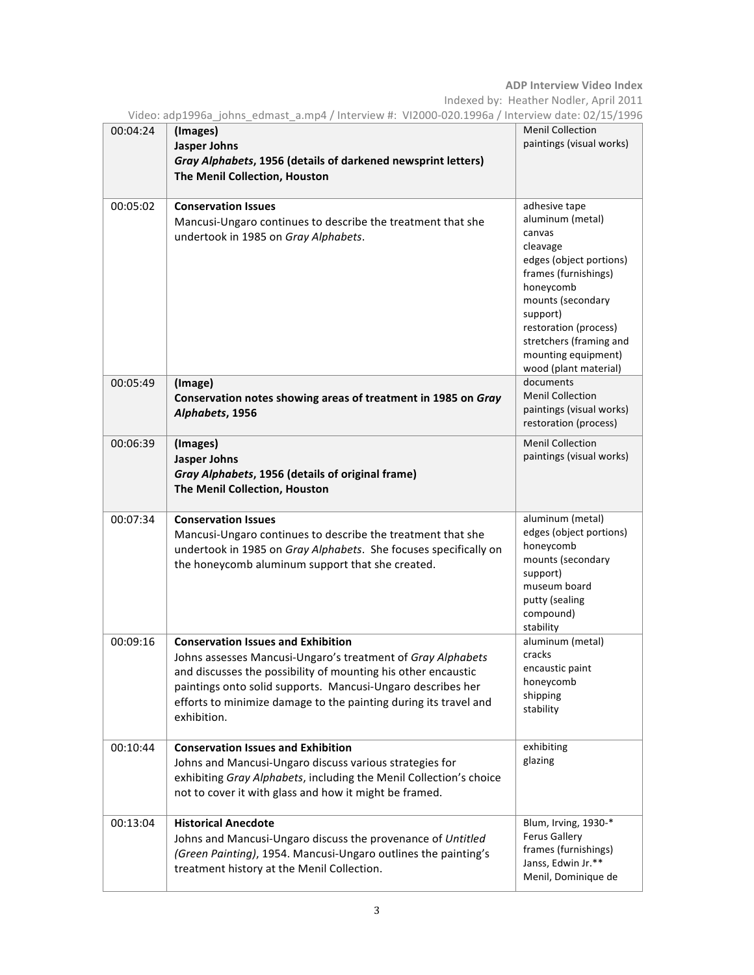**ADP Interview Video Index** Indexed by: Heather Nodler, April 2011

|          | 0211990 / 02/15/200 / 02/15/200 / 02/14/200 / 02/14/200 / 02/14/200 / 02/200 / 02/200 / 02/200 / 02/                                                                                                                                                                                                                        |                                                                                                                                                                                                                                                              |
|----------|-----------------------------------------------------------------------------------------------------------------------------------------------------------------------------------------------------------------------------------------------------------------------------------------------------------------------------|--------------------------------------------------------------------------------------------------------------------------------------------------------------------------------------------------------------------------------------------------------------|
| 00:04:24 | (Images)<br><b>Jasper Johns</b><br>Gray Alphabets, 1956 (details of darkened newsprint letters)<br>The Menil Collection, Houston                                                                                                                                                                                            | <b>Menil Collection</b><br>paintings (visual works)                                                                                                                                                                                                          |
| 00:05:02 | <b>Conservation Issues</b><br>Mancusi-Ungaro continues to describe the treatment that she<br>undertook in 1985 on Gray Alphabets.                                                                                                                                                                                           | adhesive tape<br>aluminum (metal)<br>canvas<br>cleavage<br>edges (object portions)<br>frames (furnishings)<br>honeycomb<br>mounts (secondary<br>support)<br>restoration (process)<br>stretchers (framing and<br>mounting equipment)<br>wood (plant material) |
| 00:05:49 | (Image)<br>Conservation notes showing areas of treatment in 1985 on Gray<br>Alphabets, 1956                                                                                                                                                                                                                                 | documents<br><b>Menil Collection</b><br>paintings (visual works)<br>restoration (process)                                                                                                                                                                    |
| 00:06:39 | (Images)<br>Jasper Johns<br>Gray Alphabets, 1956 (details of original frame)<br>The Menil Collection, Houston                                                                                                                                                                                                               | <b>Menil Collection</b><br>paintings (visual works)                                                                                                                                                                                                          |
| 00:07:34 | <b>Conservation Issues</b><br>Mancusi-Ungaro continues to describe the treatment that she<br>undertook in 1985 on Gray Alphabets. She focuses specifically on<br>the honeycomb aluminum support that she created.                                                                                                           | aluminum (metal)<br>edges (object portions)<br>honeycomb<br>mounts (secondary<br>support)<br>museum board<br>putty (sealing<br>compound)<br>stability                                                                                                        |
| 00:09:16 | <b>Conservation Issues and Exhibition</b><br>Johns assesses Mancusi-Ungaro's treatment of Gray Alphabets<br>and discusses the possibility of mounting his other encaustic<br>paintings onto solid supports. Mancusi-Ungaro describes her<br>efforts to minimize damage to the painting during its travel and<br>exhibition. | aluminum (metal)<br>cracks<br>encaustic paint<br>honeycomb<br>shipping<br>stability                                                                                                                                                                          |
| 00:10:44 | <b>Conservation Issues and Exhibition</b><br>Johns and Mancusi-Ungaro discuss various strategies for<br>exhibiting Gray Alphabets, including the Menil Collection's choice<br>not to cover it with glass and how it might be framed.                                                                                        | exhibiting<br>glazing                                                                                                                                                                                                                                        |
| 00:13:04 | <b>Historical Anecdote</b>                                                                                                                                                                                                                                                                                                  | Blum, Irving, 1930-*                                                                                                                                                                                                                                         |

Video: adp1996a\_johns\_edmast\_a.mp4 / Interview #: VI2000-020.1996a / Interview date: 02/15/1996

|       | exhibiting Gray Alphabets, including the Menil Collection's choice<br>not to cover it with glass and how it might be framed.                                                                              |                                                                                                                   |
|-------|-----------------------------------------------------------------------------------------------------------------------------------------------------------------------------------------------------------|-------------------------------------------------------------------------------------------------------------------|
| 13:04 | <b>Historical Anecdote</b><br>Johns and Mancusi-Ungaro discuss the provenance of Untitled<br>(Green Painting), 1954. Mancusi-Ungaro outlines the painting's<br>treatment history at the Menil Collection. | Blum, Irving, 1930-*<br><b>Ferus Gallery</b><br>frames (furnishings)<br>Janss, Edwin Jr.**<br>Menil, Dominique de |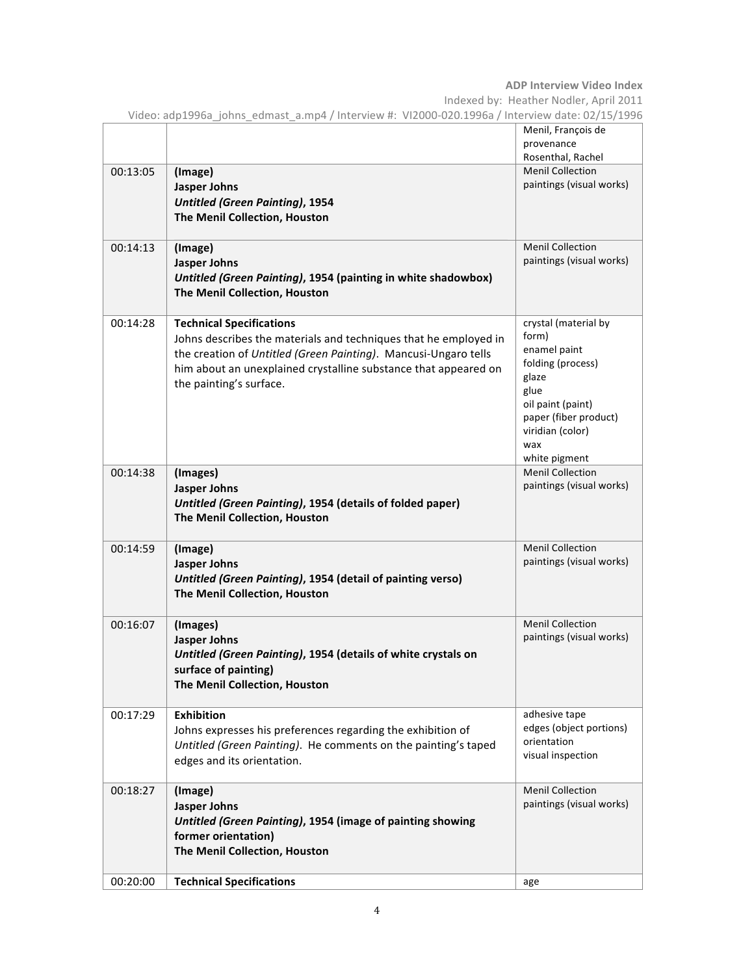Indexed by: Heather Nodler, April 2011

|          |                                                                                                                                                                                                                                                                      | Menil, François de<br>provenance                                                                                                                                              |
|----------|----------------------------------------------------------------------------------------------------------------------------------------------------------------------------------------------------------------------------------------------------------------------|-------------------------------------------------------------------------------------------------------------------------------------------------------------------------------|
| 00:13:05 | (Image)<br><b>Jasper Johns</b><br><b>Untitled (Green Painting), 1954</b><br>The Menil Collection, Houston                                                                                                                                                            | Rosenthal, Rachel<br><b>Menil Collection</b><br>paintings (visual works)                                                                                                      |
| 00:14:13 | (Image)<br><b>Jasper Johns</b><br>Untitled (Green Painting), 1954 (painting in white shadowbox)<br>The Menil Collection, Houston                                                                                                                                     | <b>Menil Collection</b><br>paintings (visual works)                                                                                                                           |
| 00:14:28 | <b>Technical Specifications</b><br>Johns describes the materials and techniques that he employed in<br>the creation of Untitled (Green Painting). Mancusi-Ungaro tells<br>him about an unexplained crystalline substance that appeared on<br>the painting's surface. | crystal (material by<br>form)<br>enamel paint<br>folding (process)<br>glaze<br>glue<br>oil paint (paint)<br>paper (fiber product)<br>viridian (color)<br>wax<br>white pigment |
| 00:14:38 | (Images)<br><b>Jasper Johns</b><br>Untitled (Green Painting), 1954 (details of folded paper)<br>The Menil Collection, Houston                                                                                                                                        | <b>Menil Collection</b><br>paintings (visual works)                                                                                                                           |
| 00:14:59 | (Image)<br><b>Jasper Johns</b><br>Untitled (Green Painting), 1954 (detail of painting verso)<br>The Menil Collection, Houston                                                                                                                                        | <b>Menil Collection</b><br>paintings (visual works)                                                                                                                           |
| 00:16:07 | (Images)<br><b>Jasper Johns</b><br>Untitled (Green Painting), 1954 (details of white crystals on<br>surface of painting)<br>The Menil Collection, Houston                                                                                                            | <b>Menil Collection</b><br>paintings (visual works)                                                                                                                           |
| 00:17:29 | <b>Exhibition</b><br>Johns expresses his preferences regarding the exhibition of<br>Untitled (Green Painting). He comments on the painting's taped<br>edges and its orientation.                                                                                     | adhesive tape<br>edges (object portions)<br>orientation<br>visual inspection                                                                                                  |
| 00:18:27 | (Image)<br><b>Jasper Johns</b><br>Untitled (Green Painting), 1954 (image of painting showing<br>former orientation)<br>The Menil Collection, Houston                                                                                                                 | <b>Menil Collection</b><br>paintings (visual works)                                                                                                                           |
| 00:20:00 | <b>Technical Specifications</b>                                                                                                                                                                                                                                      | age                                                                                                                                                                           |

Video: adp1996a\_johns\_edmast\_a.mp4 / Interview #: VI2000-020.1996a / Interview date: 02/15/1996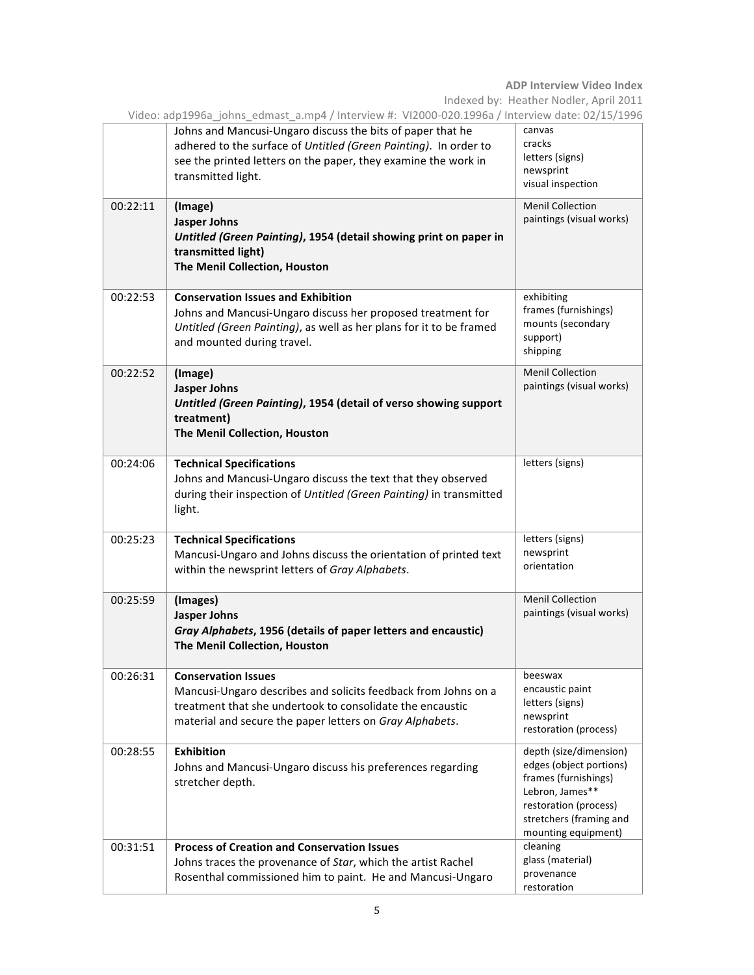| Video: adp1996a_johns_edmast_a.mp4 / Interview #: VI2000-020.1996a / Interview date: 02/15/1996 |                                                                                                                                                                                                                        |                                                                                                                                                                         |  |  |
|-------------------------------------------------------------------------------------------------|------------------------------------------------------------------------------------------------------------------------------------------------------------------------------------------------------------------------|-------------------------------------------------------------------------------------------------------------------------------------------------------------------------|--|--|
|                                                                                                 | Johns and Mancusi-Ungaro discuss the bits of paper that he<br>adhered to the surface of Untitled (Green Painting). In order to<br>see the printed letters on the paper, they examine the work in<br>transmitted light. | canvas<br>cracks<br>letters (signs)<br>newsprint<br>visual inspection                                                                                                   |  |  |
| 00:22:11                                                                                        | (Image)<br>Jasper Johns<br>Untitled (Green Painting), 1954 (detail showing print on paper in<br>transmitted light)<br>The Menil Collection, Houston                                                                    | <b>Menil Collection</b><br>paintings (visual works)                                                                                                                     |  |  |
| 00:22:53                                                                                        | <b>Conservation Issues and Exhibition</b><br>Johns and Mancusi-Ungaro discuss her proposed treatment for<br>Untitled (Green Painting), as well as her plans for it to be framed<br>and mounted during travel.          | exhibiting<br>frames (furnishings)<br>mounts (secondary<br>support)<br>shipping                                                                                         |  |  |
| 00:22:52                                                                                        | (Image)<br><b>Jasper Johns</b><br>Untitled (Green Painting), 1954 (detail of verso showing support<br>treatment)<br>The Menil Collection, Houston                                                                      | <b>Menil Collection</b><br>paintings (visual works)                                                                                                                     |  |  |
| 00:24:06                                                                                        | <b>Technical Specifications</b><br>Johns and Mancusi-Ungaro discuss the text that they observed<br>during their inspection of Untitled (Green Painting) in transmitted<br>light.                                       | letters (signs)                                                                                                                                                         |  |  |
| 00:25:23                                                                                        | <b>Technical Specifications</b><br>Mancusi-Ungaro and Johns discuss the orientation of printed text<br>within the newsprint letters of Gray Alphabets.                                                                 | letters (signs)<br>newsprint<br>orientation                                                                                                                             |  |  |
| 00:25:59                                                                                        | (Images)<br>Jasper Johns<br>Gray Alphabets, 1956 (details of paper letters and encaustic)<br>The Menil Collection, Houston                                                                                             | <b>Menil Collection</b><br>paintings (visual works)                                                                                                                     |  |  |
| 00:26:31                                                                                        | <b>Conservation Issues</b><br>Mancusi-Ungaro describes and solicits feedback from Johns on a<br>treatment that she undertook to consolidate the encaustic<br>material and secure the paper letters on Gray Alphabets.  | beeswax<br>encaustic paint<br>letters (signs)<br>newsprint<br>restoration (process)                                                                                     |  |  |
| 00:28:55                                                                                        | <b>Exhibition</b><br>Johns and Mancusi-Ungaro discuss his preferences regarding<br>stretcher depth.                                                                                                                    | depth (size/dimension)<br>edges (object portions)<br>frames (furnishings)<br>Lebron, James**<br>restoration (process)<br>stretchers (framing and<br>mounting equipment) |  |  |
| 00:31:51                                                                                        | <b>Process of Creation and Conservation Issues</b><br>Johns traces the provenance of Star, which the artist Rachel<br>Rosenthal commissioned him to paint. He and Mancusi-Ungaro                                       | cleaning<br>glass (material)<br>provenance<br>restoration                                                                                                               |  |  |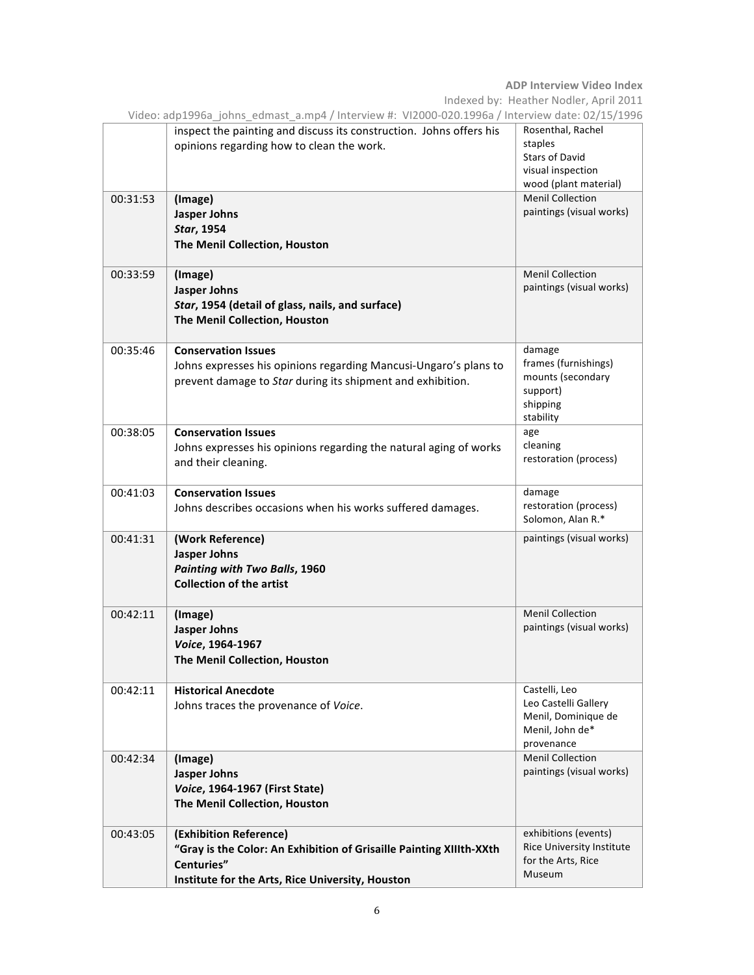| Video: adp1996a johns edmast a.mp4 / Interview #: VI2000-020.1996a / Interview date: 02/15/1996 |                                                                                                                                                                 |                                                                                                     |  |  |
|-------------------------------------------------------------------------------------------------|-----------------------------------------------------------------------------------------------------------------------------------------------------------------|-----------------------------------------------------------------------------------------------------|--|--|
|                                                                                                 | inspect the painting and discuss its construction. Johns offers his<br>opinions regarding how to clean the work.                                                | Rosenthal, Rachel<br>staples<br><b>Stars of David</b><br>visual inspection<br>wood (plant material) |  |  |
| 00:31:53                                                                                        | (Image)<br><b>Jasper Johns</b><br><b>Star, 1954</b><br>The Menil Collection, Houston                                                                            | <b>Menil Collection</b><br>paintings (visual works)                                                 |  |  |
| 00:33:59                                                                                        | (Image)<br>Jasper Johns<br>Star, 1954 (detail of glass, nails, and surface)<br>The Menil Collection, Houston                                                    | <b>Menil Collection</b><br>paintings (visual works)                                                 |  |  |
| 00:35:46                                                                                        | <b>Conservation Issues</b><br>Johns expresses his opinions regarding Mancusi-Ungaro's plans to<br>prevent damage to Star during its shipment and exhibition.    | damage<br>frames (furnishings)<br>mounts (secondary<br>support)<br>shipping<br>stability            |  |  |
| 00:38:05                                                                                        | <b>Conservation Issues</b><br>Johns expresses his opinions regarding the natural aging of works<br>and their cleaning.                                          | age<br>cleaning<br>restoration (process)                                                            |  |  |
| 00:41:03                                                                                        | <b>Conservation Issues</b><br>Johns describes occasions when his works suffered damages.                                                                        | damage<br>restoration (process)<br>Solomon, Alan R.*                                                |  |  |
| 00:41:31                                                                                        | (Work Reference)<br>Jasper Johns<br><b>Painting with Two Balls, 1960</b><br><b>Collection of the artist</b>                                                     | paintings (visual works)                                                                            |  |  |
| 00:42:11                                                                                        | (Image)<br><b>Jasper Johns</b><br>Voice, 1964-1967<br>The Menil Collection, Houston                                                                             | <b>Menil Collection</b><br>paintings (visual works)                                                 |  |  |
| 00:42:11                                                                                        | <b>Historical Anecdote</b><br>Johns traces the provenance of Voice.                                                                                             | Castelli, Leo<br>Leo Castelli Gallery<br>Menil, Dominique de<br>Menil, John de*<br>provenance       |  |  |
| 00:42:34                                                                                        | (Image)<br><b>Jasper Johns</b><br>Voice, 1964-1967 (First State)<br>The Menil Collection, Houston                                                               | <b>Menil Collection</b><br>paintings (visual works)                                                 |  |  |
| 00:43:05                                                                                        | (Exhibition Reference)<br>"Gray is the Color: An Exhibition of Grisaille Painting XIIIth-XXth<br>Centuries"<br>Institute for the Arts, Rice University, Houston | exhibitions (events)<br><b>Rice University Institute</b><br>for the Arts, Rice<br>Museum            |  |  |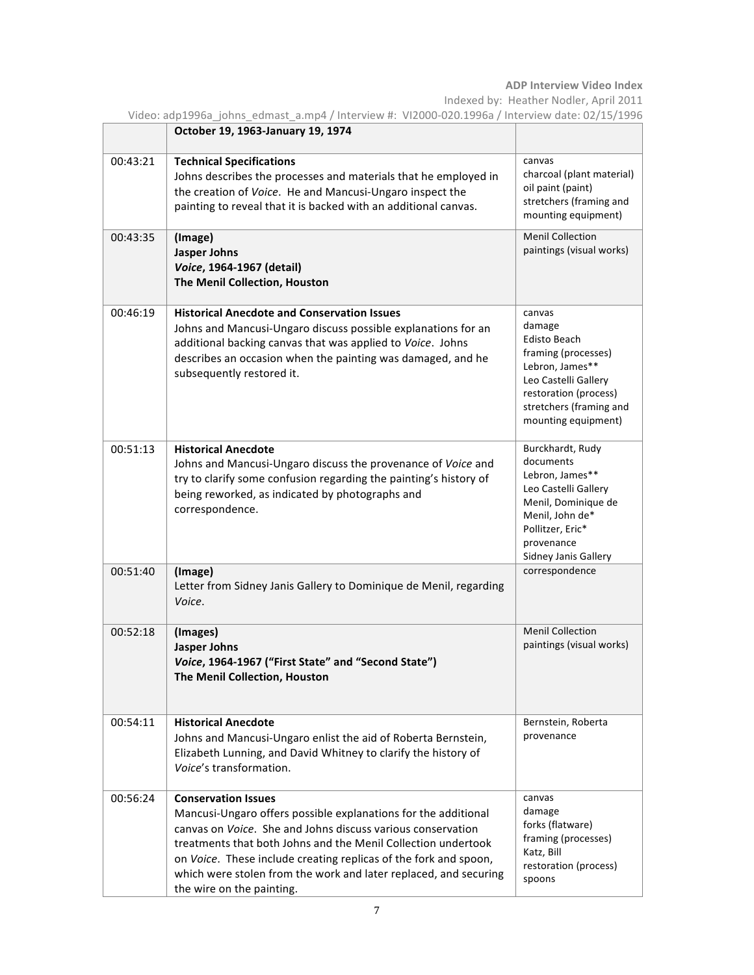Indexed by: Heather Nodler, April 2011

Video: adp1996a\_johns\_edmast\_a.mp4 / Interview #: VI2000-020.1996a / Interview date: 02/15/1996

|          | October 19, 1963-January 19, 1974                                                                                                                                                                                                                                                                                                                                                                         |                                                                                                                                                                               |
|----------|-----------------------------------------------------------------------------------------------------------------------------------------------------------------------------------------------------------------------------------------------------------------------------------------------------------------------------------------------------------------------------------------------------------|-------------------------------------------------------------------------------------------------------------------------------------------------------------------------------|
| 00:43:21 | <b>Technical Specifications</b><br>Johns describes the processes and materials that he employed in<br>the creation of Voice. He and Mancusi-Ungaro inspect the<br>painting to reveal that it is backed with an additional canvas.                                                                                                                                                                         | canvas<br>charcoal (plant material)<br>oil paint (paint)<br>stretchers (framing and<br>mounting equipment)                                                                    |
| 00:43:35 | (Image)<br><b>Jasper Johns</b><br>Voice, 1964-1967 (detail)<br>The Menil Collection, Houston                                                                                                                                                                                                                                                                                                              | <b>Menil Collection</b><br>paintings (visual works)                                                                                                                           |
| 00:46:19 | <b>Historical Anecdote and Conservation Issues</b><br>Johns and Mancusi-Ungaro discuss possible explanations for an<br>additional backing canvas that was applied to Voice. Johns<br>describes an occasion when the painting was damaged, and he<br>subsequently restored it.                                                                                                                             | canvas<br>damage<br>Edisto Beach<br>framing (processes)<br>Lebron, James**<br>Leo Castelli Gallery<br>restoration (process)<br>stretchers (framing and<br>mounting equipment) |
| 00:51:13 | <b>Historical Anecdote</b><br>Johns and Mancusi-Ungaro discuss the provenance of Voice and<br>try to clarify some confusion regarding the painting's history of<br>being reworked, as indicated by photographs and<br>correspondence.                                                                                                                                                                     | Burckhardt, Rudy<br>documents<br>Lebron, James**<br>Leo Castelli Gallery<br>Menil, Dominique de<br>Menil, John de*<br>Pollitzer, Eric*<br>provenance<br>Sidney Janis Gallery  |
| 00:51:40 | (Image)<br>Letter from Sidney Janis Gallery to Dominique de Menil, regarding<br>Voice.                                                                                                                                                                                                                                                                                                                    | correspondence                                                                                                                                                                |
| 00:52:18 | (Images)<br><b>Jasper Johns</b><br>Voice, 1964-1967 ("First State" and "Second State")<br>The Menil Collection, Houston                                                                                                                                                                                                                                                                                   | <b>Menil Collection</b><br>paintings (visual works)                                                                                                                           |
| 00:54:11 | <b>Historical Anecdote</b><br>Johns and Mancusi-Ungaro enlist the aid of Roberta Bernstein,<br>Elizabeth Lunning, and David Whitney to clarify the history of<br>Voice's transformation.                                                                                                                                                                                                                  | Bernstein, Roberta<br>provenance                                                                                                                                              |
| 00:56:24 | <b>Conservation Issues</b><br>Mancusi-Ungaro offers possible explanations for the additional<br>canvas on <i>Voice</i> . She and Johns discuss various conservation<br>treatments that both Johns and the Menil Collection undertook<br>on Voice. These include creating replicas of the fork and spoon,<br>which were stolen from the work and later replaced, and securing<br>the wire on the painting. | canvas<br>damage<br>forks (flatware)<br>framing (processes)<br>Katz, Bill<br>restoration (process)<br>spoons                                                                  |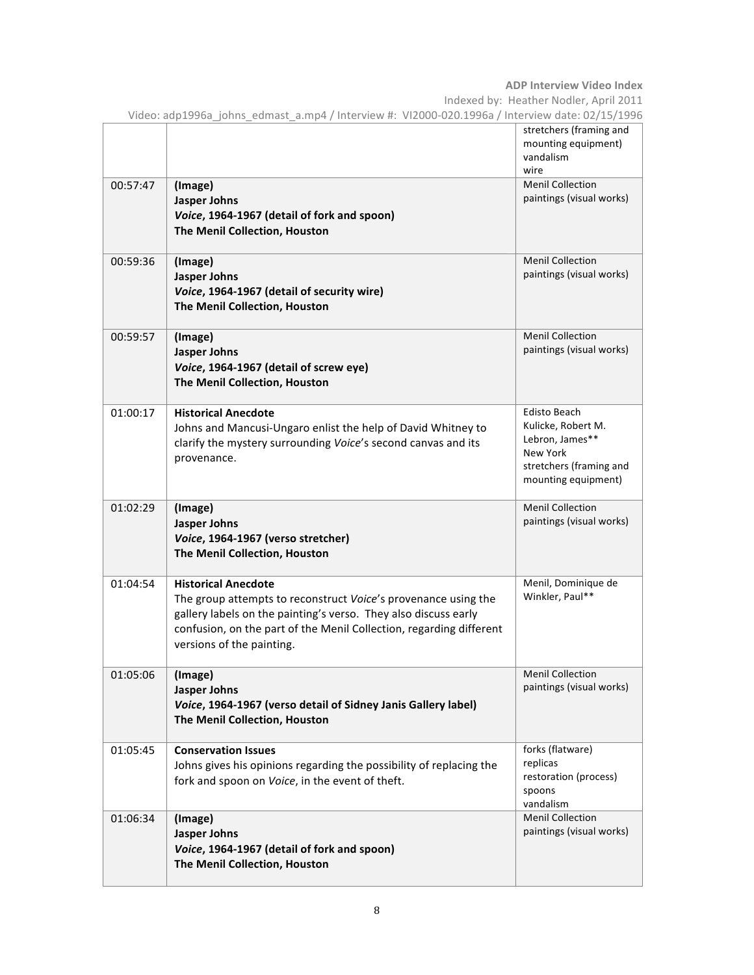Indexed by: Heather Nodler, April 2011

|          | VIUEO: dUPIJYDd TONNS EUNIdSL d.MP4 / MENVIEW #. VIZUUU-UZU.1990d / MIENVIEW UdIE. UZ/15/1990                                                                                                                                                                       | stretchers (framing and<br>mounting equipment)<br>vandalism<br>wire                                                 |
|----------|---------------------------------------------------------------------------------------------------------------------------------------------------------------------------------------------------------------------------------------------------------------------|---------------------------------------------------------------------------------------------------------------------|
| 00:57:47 | (Image)<br>Jasper Johns<br>Voice, 1964-1967 (detail of fork and spoon)<br>The Menil Collection, Houston                                                                                                                                                             | <b>Menil Collection</b><br>paintings (visual works)                                                                 |
| 00:59:36 | (Image)<br><b>Jasper Johns</b><br>Voice, 1964-1967 (detail of security wire)<br>The Menil Collection, Houston                                                                                                                                                       | <b>Menil Collection</b><br>paintings (visual works)                                                                 |
| 00:59:57 | (Image)<br><b>Jasper Johns</b><br>Voice, 1964-1967 (detail of screw eye)<br>The Menil Collection, Houston                                                                                                                                                           | <b>Menil Collection</b><br>paintings (visual works)                                                                 |
| 01:00:17 | <b>Historical Anecdote</b><br>Johns and Mancusi-Ungaro enlist the help of David Whitney to<br>clarify the mystery surrounding Voice's second canvas and its<br>provenance.                                                                                          | Edisto Beach<br>Kulicke, Robert M.<br>Lebron, James**<br>New York<br>stretchers (framing and<br>mounting equipment) |
| 01:02:29 | (Image)<br>Jasper Johns<br>Voice, 1964-1967 (verso stretcher)<br>The Menil Collection, Houston                                                                                                                                                                      | <b>Menil Collection</b><br>paintings (visual works)                                                                 |
| 01:04:54 | <b>Historical Anecdote</b><br>The group attempts to reconstruct Voice's provenance using the<br>gallery labels on the painting's verso. They also discuss early<br>confusion, on the part of the Menil Collection, regarding different<br>versions of the painting. | Menil, Dominique de<br>Winkler, Paul**                                                                              |
| 01:05:06 | (Image)<br>Jasper Johns<br>Voice, 1964-1967 (verso detail of Sidney Janis Gallery label)<br>The Menil Collection, Houston                                                                                                                                           | <b>Menil Collection</b><br>paintings (visual works)                                                                 |
| 01:05:45 | <b>Conservation Issues</b><br>Johns gives his opinions regarding the possibility of replacing the<br>fork and spoon on Voice, in the event of theft.                                                                                                                | forks (flatware)<br>replicas<br>restoration (process)<br>spoons<br>vandalism                                        |
| 01:06:34 | (Image)<br>Jasper Johns<br>Voice, 1964-1967 (detail of fork and spoon)<br>The Menil Collection, Houston                                                                                                                                                             | <b>Menil Collection</b><br>paintings (visual works)                                                                 |

Video: adp1996a\_johns\_edmast\_a.mp4 / Interview #: VI2000-020.1996a / Interview date: 02/15/1996